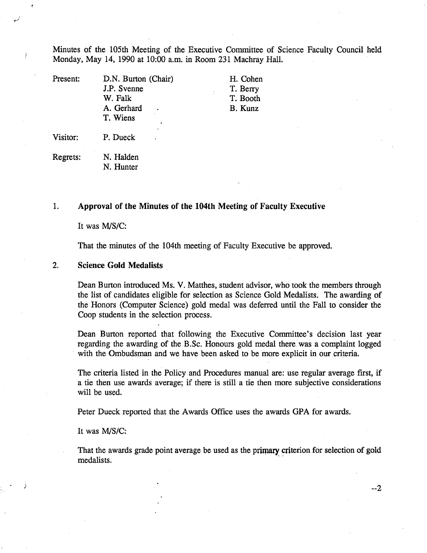Minutes of the 105th Meeting of the Executive Committee of Science Faculty Council held Monday, May 14, 1990 at 10:00 a.m. in Room 231 Machray Hall.

| Present: | D.N. Burton (Chair) | H. Cohen |
|----------|---------------------|----------|
|          | J.P. Svenne         | T. Berry |
|          | W. Falk             | T. Booth |
|          | A. Gerhard          | B. Kunz  |
|          | T. Wiens            |          |
| Visitor: | P. Dueck            |          |

Regrets: N. Halden N. Hunter

#### $1.$ **Approval of the Minutes of the 104th Meeting of Faculty Executive**

It was M/S/C:

That the minutes of the 104th meeting of Faculty Executive be approved.

#### $2.$ **Science Gold Medalists**

Dean Burton introduced Ms. V. Matthes, student advisor, who took the members through the list of candidates eligible for selection as Science Gold Medalists. The awarding of the Honors (Computer Science) gold medal was deferred until the Fall to consider the Coop students in the selection process.

Dean Burton reported that following the Executive Committee's decision last year regarding the awarding of the B.Sc. Honours gold medal there was a complaint logged with the Ombudsman and we have been asked to be more explicit in our criteria.

The criteria listed in the Policy and Procedures manual are: use regular average first, if a tie then use awards average; if there is still a tie then more subjective considerations will be used.

Peter Dueck reported that the Awards Office uses the awards GPA for awards.

It was M/S/C:

That the awards grade point average be used as the primary criterion for selection of gold medalists.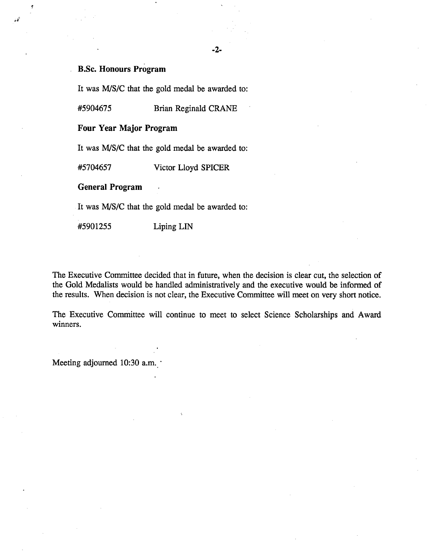### -2-

# **B.Sc. Honours Program**

It was M/S/C that the gold medal be awarded to:

*#5904675* Brian Reginald CRANE

### **Four Year Major Program**

It was MIS/C that the gold medal be awarded to:

*#5704657* Victor Lloyd SPICER

**General Program** 

It was MIS/C that the gold medal be awarded to:

#5901255 LipingLiN

The Executive Committee decided that in future, when the decision is clear cut, the selection of the Gold Medalists would be handled administratively and the executive would be informed of the results. When decision is not clear, the Executive Committee will meet on very short notice.

The Executive Committee will continue to meet to select Science Scholarships and Award winners.

Meeting adjourned 10:30 a.m.